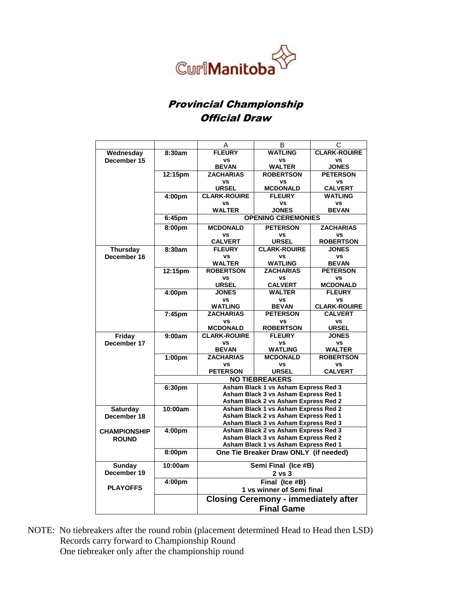

## Provincial Championship Official Draw

|                     |                    | Α                                                                                                                                             | В                                    | С                   |  |  |
|---------------------|--------------------|-----------------------------------------------------------------------------------------------------------------------------------------------|--------------------------------------|---------------------|--|--|
| Wednesday           | 8:30am             | <b>FLEURY</b>                                                                                                                                 | <b>WATLING</b>                       | <b>CLARK-ROUIRE</b> |  |  |
| December 15         |                    | <b>VS</b>                                                                                                                                     | <b>VS</b>                            | <b>VS</b>           |  |  |
|                     |                    | <b>BEVAN</b>                                                                                                                                  | <b>WALTER</b>                        | <b>JONES</b>        |  |  |
|                     | 12:15pm            | <b>ZACHARIAS</b>                                                                                                                              | <b>ROBERTSON</b>                     | <b>PETERSON</b>     |  |  |
|                     |                    | <b>VS</b>                                                                                                                                     | <b>VS</b>                            | <b>VS</b>           |  |  |
|                     |                    | <b>URSEL</b>                                                                                                                                  | <b>MCDONALD</b>                      | <b>CALVERT</b>      |  |  |
|                     | 4:00pm             | <b>CLARK-ROUIRE</b>                                                                                                                           | <b>FLEURY</b>                        | <b>WATLING</b>      |  |  |
|                     |                    | VS                                                                                                                                            | VS                                   | <b>VS</b>           |  |  |
|                     |                    | <b>WALTER</b>                                                                                                                                 | <b>JONES</b>                         | <b>BEVAN</b>        |  |  |
|                     | 6:45pm             | <b>OPENING CEREMONIES</b>                                                                                                                     |                                      |                     |  |  |
|                     | 8:00pm             | <b>MCDONALD</b>                                                                                                                               | <b>PETERSON</b>                      | <b>ZACHARIAS</b>    |  |  |
|                     |                    | VS                                                                                                                                            | <b>VS</b>                            | <b>VS</b>           |  |  |
|                     |                    | <b>CALVERT</b>                                                                                                                                | <b>URSEL</b>                         | <b>ROBERTSON</b>    |  |  |
| <b>Thursday</b>     | 8:30am             | <b>FLEURY</b>                                                                                                                                 | <b>CLARK-ROUIRE</b>                  | <b>JONES</b>        |  |  |
| December 16         |                    | ٧S                                                                                                                                            | <b>VS</b>                            | ٧S                  |  |  |
|                     |                    | <b>WALTER</b>                                                                                                                                 | <b>WATLING</b>                       | <b>BEVAN</b>        |  |  |
|                     | 12:15pm            | <b>ROBERTSON</b>                                                                                                                              | <b>ZACHARIAS</b>                     | <b>PETERSON</b>     |  |  |
|                     |                    | <b>VS</b>                                                                                                                                     | <b>VS</b>                            | <b>vs</b>           |  |  |
|                     |                    | <b>URSEL</b>                                                                                                                                  | <b>CALVERT</b>                       | <b>MCDONALD</b>     |  |  |
|                     | 4:00 <sub>pm</sub> | <b>JONES</b>                                                                                                                                  | <b>WALTER</b>                        | <b>FLEURY</b>       |  |  |
|                     |                    | ٧S                                                                                                                                            | <b>VS</b>                            | vs                  |  |  |
|                     |                    | <b>WATLING</b>                                                                                                                                | <b>BEVAN</b>                         | <b>CLARK-ROUIRE</b> |  |  |
|                     | 7:45 <sub>pm</sub> | <b>ZACHARIAS</b>                                                                                                                              | <b>PETERSON</b>                      | <b>CALVERT</b>      |  |  |
|                     |                    | <b>VS</b>                                                                                                                                     | <b>VS</b>                            | <b>VS</b>           |  |  |
|                     |                    | <b>MCDONALD</b>                                                                                                                               | <b>ROBERTSON</b>                     | <b>URSEL</b>        |  |  |
| <b>Friday</b>       | 9:00am             | <b>CLARK-ROUIRE</b>                                                                                                                           | <b>FLEURY</b>                        | <b>JONES</b>        |  |  |
| December 17         |                    | <b>VS</b>                                                                                                                                     | <b>VS</b>                            | vs                  |  |  |
|                     |                    | <b>BEVAN</b>                                                                                                                                  | <b>WATLING</b>                       | <b>WALTER</b>       |  |  |
|                     | 1:00pm             | <b>ZACHARIAS</b>                                                                                                                              | <b>MCDONALD</b>                      | <b>ROBERTSON</b>    |  |  |
|                     |                    | VS                                                                                                                                            | <b>VS</b><br><b>URSEL</b>            | <b>VS</b>           |  |  |
|                     |                    | <b>PETERSON</b>                                                                                                                               | <b>CALVERT</b>                       |                     |  |  |
|                     |                    | <b>NO TIEBREAKERS</b><br>Asham Black 1 vs Asham Express Red 3<br>Asham Black 3 vs Asham Express Red 1<br>Asham Black 2 vs Asham Express Red 2 |                                      |                     |  |  |
|                     | 6:30pm             |                                                                                                                                               |                                      |                     |  |  |
|                     |                    |                                                                                                                                               |                                      |                     |  |  |
|                     |                    |                                                                                                                                               |                                      |                     |  |  |
| Saturday            | 10:00am            | Asham Black 1 vs Asham Express Red 2                                                                                                          |                                      |                     |  |  |
| December 18         |                    |                                                                                                                                               | Asham Black 2 vs Asham Express Red 1 |                     |  |  |
|                     |                    |                                                                                                                                               | Asham Black 3 vs Asham Express Red 3 |                     |  |  |
| <b>CHAMPIONSHIP</b> | 4:00pm             |                                                                                                                                               | Asham Black 2 vs Asham Express Red 3 |                     |  |  |
| <b>ROUND</b>        |                    | Asham Black 3 vs Asham Express Red 2                                                                                                          |                                      |                     |  |  |
|                     |                    |                                                                                                                                               | Asham Black 1 vs Asham Express Red 1 |                     |  |  |
|                     | 8:00pm             | One Tie Breaker Draw ONLY (if needed)                                                                                                         |                                      |                     |  |  |
| Sunday              | 10:00am            |                                                                                                                                               | Semi Final (Ice #B)                  |                     |  |  |
| December 19         |                    |                                                                                                                                               | $2$ vs $3$                           |                     |  |  |
|                     | 4:00pm             |                                                                                                                                               | Final (Ice #B)                       |                     |  |  |
| <b>PLAYOFFS</b>     |                    | 1 vs winner of Semi final<br><b>Closing Ceremony - immediately after</b>                                                                      |                                      |                     |  |  |
|                     |                    |                                                                                                                                               |                                      |                     |  |  |
|                     |                    | <b>Final Game</b>                                                                                                                             |                                      |                     |  |  |
|                     |                    |                                                                                                                                               |                                      |                     |  |  |

NOTE: No tiebreakers after the round robin (placement determined Head to Head then LSD) Records carry forward to Championship Round One tiebreaker only after the championship round